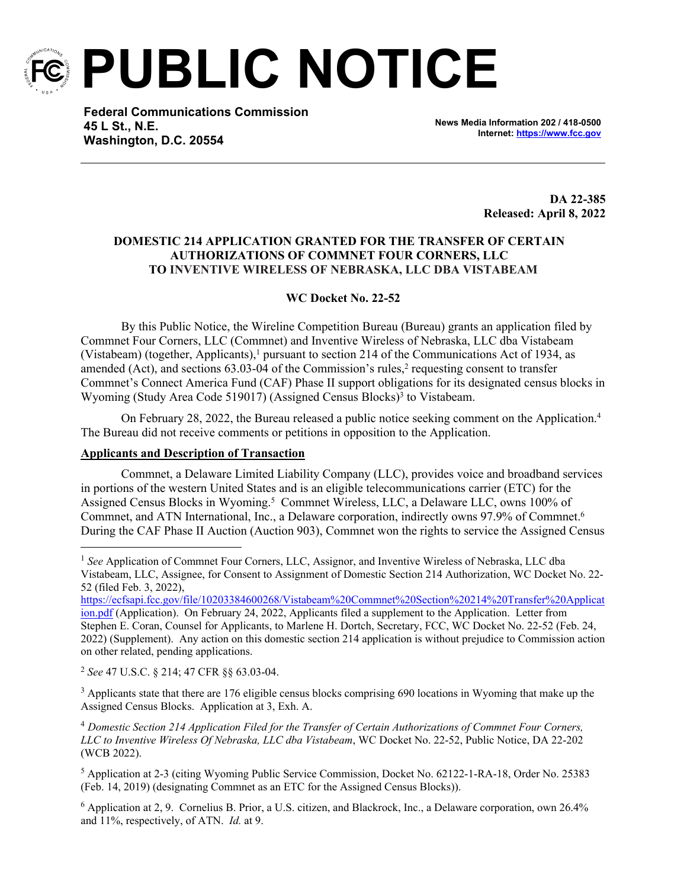

**PUBLIC NOTICE**

**Federal Communications Commission 45 L St., N.E. Washington, D.C. 20554**

**News Media Information 202 / 418-0500 Internet:<https://www.fcc.gov>**

> **DA 22-385 Released: April 8, 2022**

## **DOMESTIC 214 APPLICATION GRANTED FOR THE TRANSFER OF CERTAIN AUTHORIZATIONS OF COMMNET FOUR CORNERS, LLC TO INVENTIVE WIRELESS OF NEBRASKA, LLC DBA VISTABEAM**

## **WC Docket No. 22-52**

By this Public Notice, the Wireline Competition Bureau (Bureau) grants an application filed by Commnet Four Corners, LLC (Commnet) and Inventive Wireless of Nebraska, LLC dba Vistabeam (Vistabeam) (together, Applicants),<sup>1</sup> pursuant to section 214 of the Communications Act of 1934, as amended (Act), and sections  $63.03$ -04 of the Commission's rules,<sup>2</sup> requesting consent to transfer Commnet's Connect America Fund (CAF) Phase II support obligations for its designated census blocks in Wyoming (Study Area Code 519017) (Assigned Census Blocks)<sup>3</sup> to Vistabeam.

On February 28, 2022, the Bureau released a public notice seeking comment on the Application.<sup>4</sup> The Bureau did not receive comments or petitions in opposition to the Application.

## **Applicants and Description of Transaction**

Commnet, a Delaware Limited Liability Company (LLC), provides voice and broadband services in portions of the western United States and is an eligible telecommunications carrier (ETC) for the Assigned Census Blocks in Wyoming.<sup>5</sup> Commnet Wireless, LLC, a Delaware LLC, owns 100% of Commnet, and ATN International, Inc., a Delaware corporation, indirectly owns 97.9% of Commnet.<sup>6</sup> During the CAF Phase II Auction (Auction 903), Commnet won the rights to service the Assigned Census

[https://ecfsapi.fcc.gov/file/10203384600268/Vistabeam%20Commnet%20Section%20214%20Transfer%20Applicat](https://ecfsapi.fcc.gov/file/10203384600268/Vistabeam%20Commnet%20Section%20214%20Transfer%20Application.pdf) [ion.pdf](https://ecfsapi.fcc.gov/file/10203384600268/Vistabeam%20Commnet%20Section%20214%20Transfer%20Application.pdf) (Application). On February 24, 2022, Applicants filed a supplement to the Application. Letter from Stephen E. Coran, Counsel for Applicants, to Marlene H. Dortch, Secretary, FCC, WC Docket No. 22-52 (Feb. 24, 2022) (Supplement). Any action on this domestic section 214 application is without prejudice to Commission action on other related, pending applications.

<sup>2</sup> *See* 47 U.S.C. § 214; 47 CFR §§ 63.03-04.

<sup>3</sup> Applicants state that there are 176 eligible census blocks comprising 690 locations in Wyoming that make up the Assigned Census Blocks. Application at 3, Exh. A.

<sup>4</sup> *Domestic Section 214 Application Filed for the Transfer of Certain Authorizations of Commnet Four Corners, LLC to Inventive Wireless Of Nebraska, LLC dba Vistabeam*, WC Docket No. 22-52, Public Notice, DA 22-202 (WCB 2022).

<sup>5</sup> Application at 2-3 (citing Wyoming Public Service Commission, Docket No. 62122-1-RA-18, Order No. 25383 (Feb. 14, 2019) (designating Commnet as an ETC for the Assigned Census Blocks)).

6 Application at 2, 9. Cornelius B. Prior, a U.S. citizen, and Blackrock, Inc., a Delaware corporation, own 26.4% and 11%, respectively, of ATN. *Id.* at 9.

<sup>&</sup>lt;sup>1</sup> See Application of Commnet Four Corners, LLC, Assignor, and Inventive Wireless of Nebraska, LLC dba Vistabeam, LLC, Assignee, for Consent to Assignment of Domestic Section 214 Authorization, WC Docket No. 22- 52 (filed Feb. 3, 2022),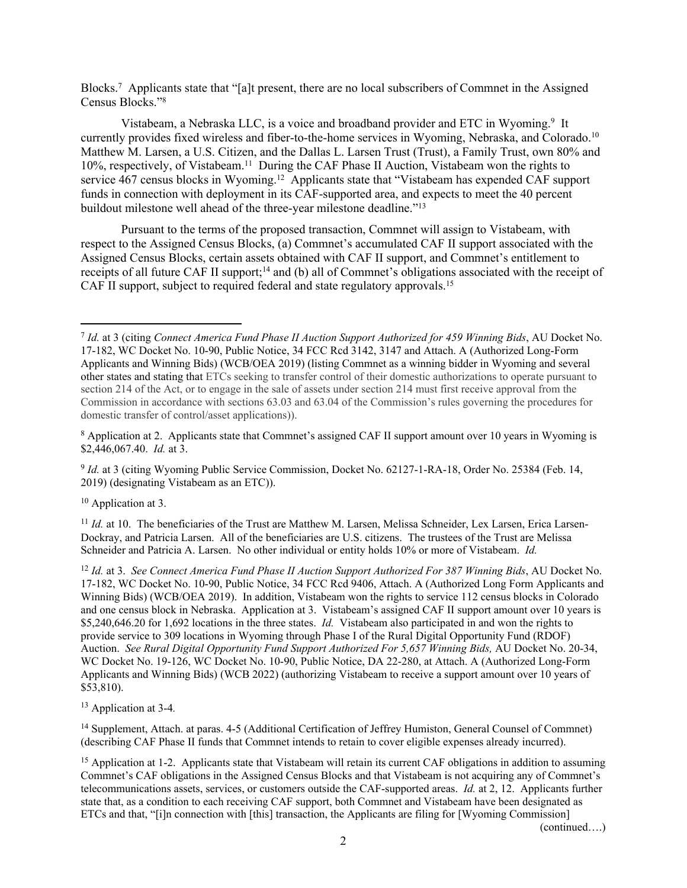Blocks.<sup>7</sup> Applicants state that "[a]t present, there are no local subscribers of Commnet in the Assigned Census Blocks."<sup>8</sup>

Vistabeam, a Nebraska LLC, is a voice and broadband provider and ETC in Wyoming.<sup>9</sup> It currently provides fixed wireless and fiber-to-the-home services in Wyoming, Nebraska, and Colorado.<sup>10</sup> Matthew M. Larsen, a U.S. Citizen, and the Dallas L. Larsen Trust (Trust), a Family Trust, own 80% and 10%, respectively, of Vistabeam.<sup>11</sup> During the CAF Phase II Auction, Vistabeam won the rights to service 467 census blocks in Wyoming.<sup>12</sup> Applicants state that "Vistabeam has expended CAF support funds in connection with deployment in its CAF-supported area, and expects to meet the 40 percent buildout milestone well ahead of the three-year milestone deadline."<sup>13</sup>

Pursuant to the terms of the proposed transaction, Commnet will assign to Vistabeam, with respect to the Assigned Census Blocks, (a) Commnet's accumulated CAF II support associated with the Assigned Census Blocks, certain assets obtained with CAF II support, and Commnet's entitlement to receipts of all future CAF II support;<sup>14</sup> and (b) all of Commnet's obligations associated with the receipt of CAF II support, subject to required federal and state regulatory approvals.<sup>15</sup>

<sup>8</sup> Application at 2. Applicants state that Commnet's assigned CAF II support amount over 10 years in Wyoming is \$2,446,067.40. *Id.* at 3.

<sup>9</sup> *Id.* at 3 (citing Wyoming Public Service Commission, Docket No. 62127-1-RA-18, Order No. 25384 (Feb. 14, 2019) (designating Vistabeam as an ETC)).

<sup>10</sup> Application at 3.

<sup>11</sup> *Id.* at 10. The beneficiaries of the Trust are Matthew M. Larsen, Melissa Schneider, Lex Larsen, Erica Larsen-Dockray, and Patricia Larsen. All of the beneficiaries are U.S. citizens. The trustees of the Trust are Melissa Schneider and Patricia A. Larsen. No other individual or entity holds 10% or more of Vistabeam. *Id.*

<sup>12</sup> *Id.* at 3. *See Connect America Fund Phase II Auction Support Authorized For 387 Winning Bids*, AU Docket No. 17-182, WC Docket No. 10-90, Public Notice, 34 FCC Rcd 9406, Attach. A (Authorized Long Form Applicants and Winning Bids) (WCB/OEA 2019). In addition, Vistabeam won the rights to service 112 census blocks in Colorado and one census block in Nebraska. Application at 3. Vistabeam's assigned CAF II support amount over 10 years is \$5,240,646.20 for 1,692 locations in the three states. *Id.* Vistabeam also participated in and won the rights to provide service to 309 locations in Wyoming through Phase I of the Rural Digital Opportunity Fund (RDOF) Auction. *See Rural Digital Opportunity Fund Support Authorized For 5,657 Winning Bids,* AU Docket No. 20-34, WC Docket No. 19-126, WC Docket No. 10-90, Public Notice, DA 22-280, at Attach. A (Authorized Long-Form Applicants and Winning Bids) (WCB 2022) (authorizing Vistabeam to receive a support amount over 10 years of \$53,810).

<sup>13</sup> Application at 3-4*.* 

<sup>14</sup> Supplement, Attach. at paras. 4-5 (Additional Certification of Jeffrey Humiston, General Counsel of Commnet) (describing CAF Phase II funds that Commnet intends to retain to cover eligible expenses already incurred).

<sup>15</sup> Application at 1-2. Applicants state that Vistabeam will retain its current CAF obligations in addition to assuming Commnet's CAF obligations in the Assigned Census Blocks and that Vistabeam is not acquiring any of Commnet's telecommunications assets, services, or customers outside the CAF-supported areas. *Id.* at 2, 12. Applicants further state that, as a condition to each receiving CAF support, both Commnet and Vistabeam have been designated as ETCs and that, "[i]n connection with [this] transaction, the Applicants are filing for [Wyoming Commission]

(continued….)

<sup>7</sup> *Id.* at 3 (citing *Connect America Fund Phase II Auction Support Authorized for 459 Winning Bids*, AU Docket No. 17-182, WC Docket No. 10-90, Public Notice, 34 FCC Rcd 3142, 3147 and Attach. A (Authorized Long-Form Applicants and Winning Bids) (WCB/OEA 2019) (listing Commnet as a winning bidder in Wyoming and several other states and stating that ETCs seeking to transfer control of their domestic authorizations to operate pursuant to section 214 of the Act, or to engage in the sale of assets under section 214 must first receive approval from the Commission in accordance with sections 63.03 and 63.04 of the Commission's rules governing the procedures for domestic transfer of control/asset applications)).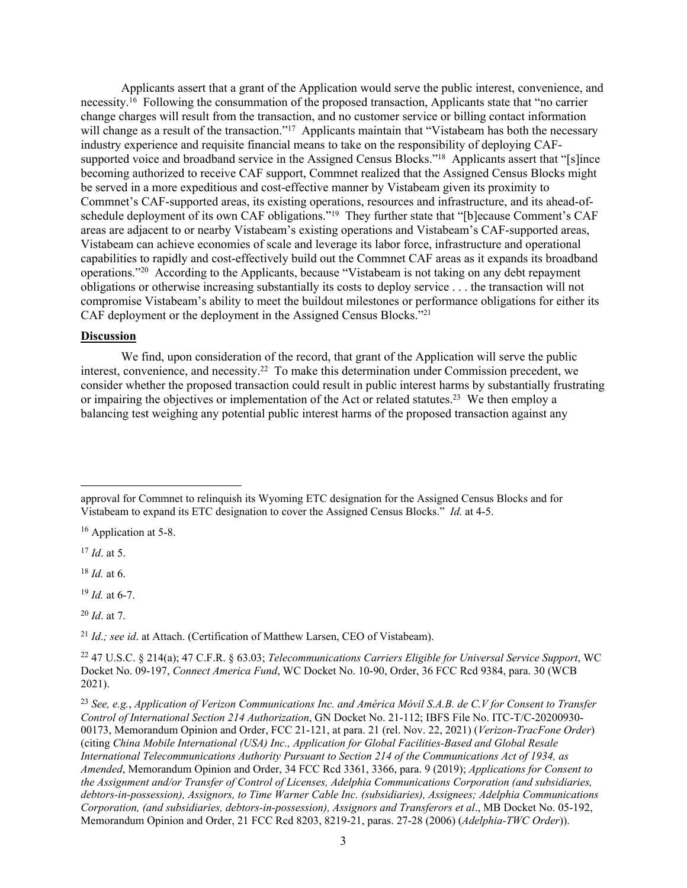Applicants assert that a grant of the Application would serve the public interest, convenience, and necessity.<sup>16</sup> Following the consummation of the proposed transaction, Applicants state that "no carrier change charges will result from the transaction, and no customer service or billing contact information will change as a result of the transaction."<sup>17</sup> Applicants maintain that "Vistabeam has both the necessary industry experience and requisite financial means to take on the responsibility of deploying CAFsupported voice and broadband service in the Assigned Census Blocks."<sup>18</sup> Applicants assert that "[s]ince becoming authorized to receive CAF support, Commnet realized that the Assigned Census Blocks might be served in a more expeditious and cost-effective manner by Vistabeam given its proximity to Commnet's CAF-supported areas, its existing operations, resources and infrastructure, and its ahead-ofschedule deployment of its own CAF obligations."<sup>19</sup> They further state that "[b]ecause Comment's CAF areas are adjacent to or nearby Vistabeam's existing operations and Vistabeam's CAF-supported areas, Vistabeam can achieve economies of scale and leverage its labor force, infrastructure and operational capabilities to rapidly and cost-effectively build out the Commnet CAF areas as it expands its broadband operations."<sup>20</sup> According to the Applicants, because "Vistabeam is not taking on any debt repayment obligations or otherwise increasing substantially its costs to deploy service . . . the transaction will not compromise Vistabeam's ability to meet the buildout milestones or performance obligations for either its CAF deployment or the deployment in the Assigned Census Blocks."<sup>21</sup>

## **Discussion**

We find, upon consideration of the record, that grant of the Application will serve the public interest, convenience, and necessity.<sup>22</sup> To make this determination under Commission precedent, we consider whether the proposed transaction could result in public interest harms by substantially frustrating or impairing the objectives or implementation of the Act or related statutes.<sup>23</sup> We then employ a balancing test weighing any potential public interest harms of the proposed transaction against any

<sup>18</sup> *Id.* at 6.

<sup>19</sup> *Id.* at 6-7.

<sup>20</sup> *Id*. at 7.

<sup>21</sup> *Id*.*; see id*. at Attach. (Certification of Matthew Larsen, CEO of Vistabeam).

approval for Commnet to relinquish its Wyoming ETC designation for the Assigned Census Blocks and for Vistabeam to expand its ETC designation to cover the Assigned Census Blocks." *Id.* at 4-5.

<sup>&</sup>lt;sup>16</sup> Application at 5-8.

<sup>17</sup> *Id*. at 5.

<sup>22</sup> 47 U.S.C. § 214(a); 47 C.F.R. § 63.03; *Telecommunications Carriers Eligible for Universal Service Support*, WC Docket No. 09-197, *Connect America Fund*, WC Docket No. 10-90, Order, 36 FCC Rcd 9384, para. 30 (WCB 2021).

<sup>23</sup> *See, e.g.*, *Application of Verizon Communications Inc. and América Móvil S.A.B. de C.V for Consent to Transfer Control of International Section 214 Authorization*, GN Docket No. 21-112; IBFS File No. ITC-T/C-20200930- 00173, Memorandum Opinion and Order, FCC 21-121, at para. 21 (rel. Nov. 22, 2021) (*Verizon-TracFone Order*) (citing *China Mobile International (USA) Inc., Application for Global Facilities-Based and Global Resale International Telecommunications Authority Pursuant to Section 214 of the Communications Act of 1934, as Amended*, Memorandum Opinion and Order, 34 FCC Rcd 3361, 3366, para. 9 (2019); *Applications for Consent to the Assignment and/or Transfer of Control of Licenses, Adelphia Communications Corporation (and subsidiaries, debtors-in-possession), Assignors, to Time Warner Cable Inc. (subsidiaries), Assignees; Adelphia Communications Corporation, (and subsidiaries, debtors-in-possession), Assignors and Transferors et al*., MB Docket No. 05-192, Memorandum Opinion and Order, 21 FCC Rcd 8203, 8219-21, paras. 27-28 (2006) (*Adelphia-TWC Order*)).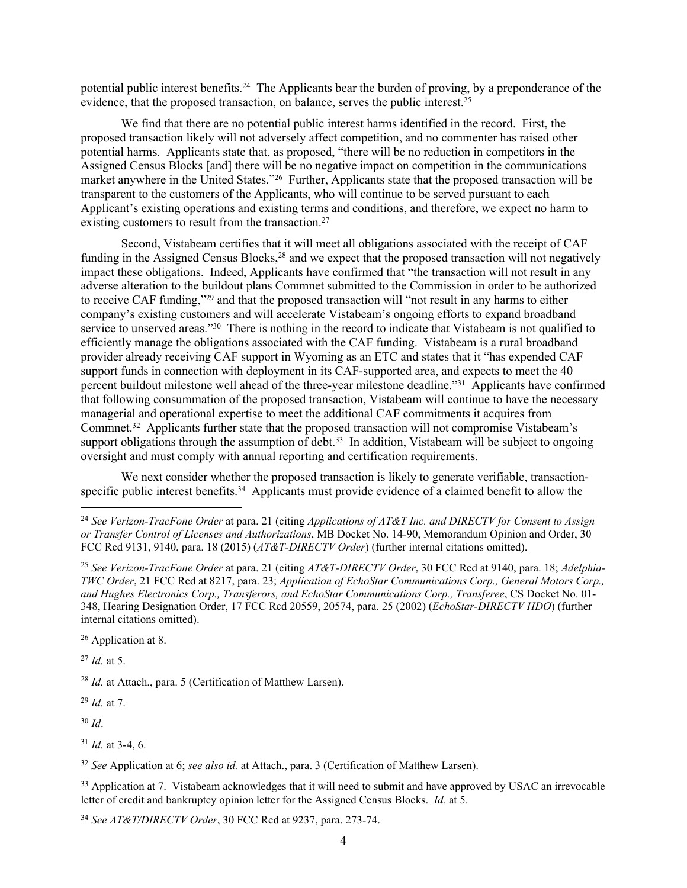potential public interest benefits.<sup>24</sup> The Applicants bear the burden of proving, by a preponderance of the evidence, that the proposed transaction, on balance, serves the public interest.<sup>25</sup>

We find that there are no potential public interest harms identified in the record. First, the proposed transaction likely will not adversely affect competition, and no commenter has raised other potential harms. Applicants state that, as proposed, "there will be no reduction in competitors in the Assigned Census Blocks [and] there will be no negative impact on competition in the communications market anywhere in the United States."<sup>26</sup> Further, Applicants state that the proposed transaction will be transparent to the customers of the Applicants, who will continue to be served pursuant to each Applicant's existing operations and existing terms and conditions, and therefore, we expect no harm to existing customers to result from the transaction.<sup>27</sup>

Second, Vistabeam certifies that it will meet all obligations associated with the receipt of CAF funding in the Assigned Census Blocks, $2<sup>8</sup>$  and we expect that the proposed transaction will not negatively impact these obligations. Indeed, Applicants have confirmed that "the transaction will not result in any adverse alteration to the buildout plans Commnet submitted to the Commission in order to be authorized to receive CAF funding,"<sup>29</sup> and that the proposed transaction will "not result in any harms to either company's existing customers and will accelerate Vistabeam's ongoing efforts to expand broadband service to unserved areas."<sup>30</sup> There is nothing in the record to indicate that Vistabeam is not qualified to efficiently manage the obligations associated with the CAF funding. Vistabeam is a rural broadband provider already receiving CAF support in Wyoming as an ETC and states that it "has expended CAF support funds in connection with deployment in its CAF-supported area, and expects to meet the 40 percent buildout milestone well ahead of the three-year milestone deadline."<sup>31</sup> Applicants have confirmed that following consummation of the proposed transaction, Vistabeam will continue to have the necessary managerial and operational expertise to meet the additional CAF commitments it acquires from Commnet.<sup>32</sup> Applicants further state that the proposed transaction will not compromise Vistabeam's support obligations through the assumption of debt.<sup>33</sup> In addition, Vistabeam will be subject to ongoing oversight and must comply with annual reporting and certification requirements.

We next consider whether the proposed transaction is likely to generate verifiable, transactionspecific public interest benefits.<sup>34</sup> Applicants must provide evidence of a claimed benefit to allow the

<sup>26</sup> Application at 8.

<sup>27</sup> *Id.* at 5.

<sup>28</sup> *Id.* at Attach., para. 5 (Certification of Matthew Larsen).

<sup>29</sup> *Id.* at 7.

<sup>30</sup> *Id*.

 $31$  *Id.* at 3-4, 6.

<sup>32</sup> *See* Application at 6; *see also id.* at Attach., para. 3 (Certification of Matthew Larsen).

<sup>33</sup> Application at 7. Vistabeam acknowledges that it will need to submit and have approved by USAC an irrevocable letter of credit and bankruptcy opinion letter for the Assigned Census Blocks. *Id.* at 5.

<sup>34</sup> *See AT&T/DIRECTV Order*, 30 FCC Rcd at 9237, para. 273-74.

<sup>24</sup> *See Verizon-TracFone Order* at para. 21 (citing *Applications of AT&T Inc. and DIRECTV for Consent to Assign or Transfer Control of Licenses and Authorizations*, MB Docket No. 14-90, Memorandum Opinion and Order, 30 FCC Rcd 9131, 9140, para. 18 (2015) (*AT&T-DIRECTV Order*) (further internal citations omitted).

<sup>25</sup> *See Verizon-TracFone Order* at para. 21 (citing *AT&T-DIRECTV Order*, 30 FCC Rcd at 9140, para. 18; *Adelphia-TWC Order*, 21 FCC Rcd at 8217, para. 23; *Application of EchoStar Communications Corp., General Motors Corp., and Hughes Electronics Corp., Transferors, and EchoStar Communications Corp., Transferee*, CS Docket No. 01- 348, Hearing Designation Order, 17 FCC Rcd 20559, 20574, para. 25 (2002) (*EchoStar-DIRECTV HDO*) (further internal citations omitted).